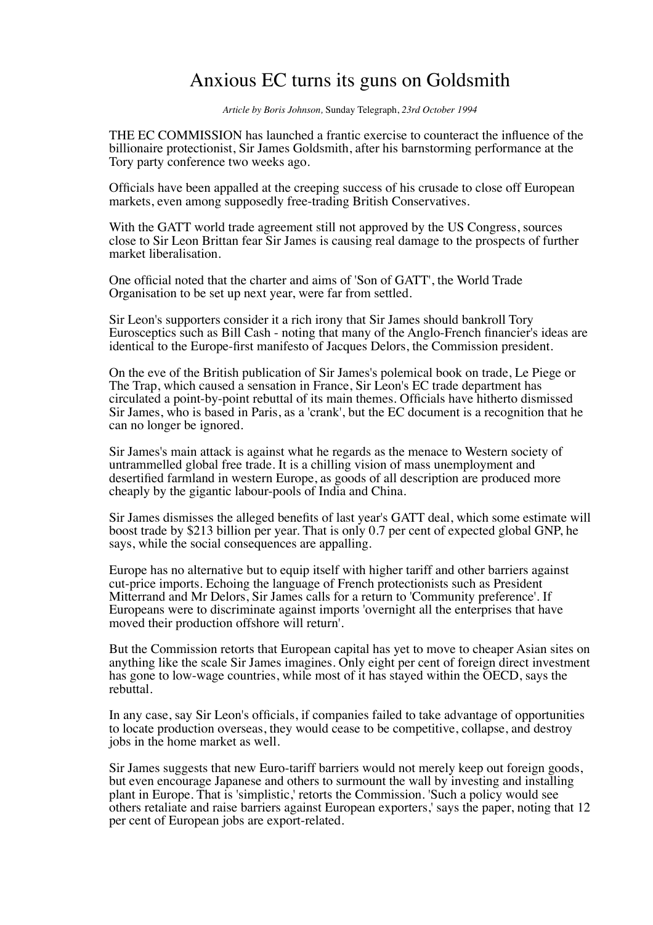## Anxious EC turns its guns on Goldsmith

*Article by Boris Johnson,* Sunday Telegraph, *23rd October 1994*

THE EC COMMISSION has launched a frantic exercise to counteract the influence of the billionaire protectionist, Sir James Goldsmith, after his barnstorming performance at the Tory party conference two weeks ago.

Officials have been appalled at the creeping success of his crusade to close off European markets, even among supposedly free-trading British Conservatives.

With the GATT world trade agreement still not approved by the US Congress, sources close to Sir Leon Brittan fear Sir James is causing real damage to the prospects of further market liberalisation.

One official noted that the charter and aims of 'Son of GATT', the World Trade Organisation to be set up next year, were far from settled.

Sir Leon's supporters consider it a rich irony that Sir James should bankroll Tory Eurosceptics such as Bill Cash - noting that many of the Anglo-French financier's ideas are identical to the Europe-first manifesto of Jacques Delors, the Commission president.

On the eve of the British publication of Sir James's polemical book on trade, Le Piege or The Trap, which caused a sensation in France, Sir Leon's EC trade department has circulated a point-by-point rebuttal of its main themes. Officials have hitherto dismissed Sir James, who is based in Paris, as a 'crank', but the EC document is a recognition that he can no longer be ignored.

Sir James's main attack is against what he regards as the menace to Western society of untrammelled global free trade. It is a chilling vision of mass unemployment and desertified farmland in western Europe, as goods of all description are produced more cheaply by the gigantic labour-pools of India and China.

Sir James dismisses the alleged benefits of last year's GATT deal, which some estimate will boost trade by \$213 billion per year. That is only 0.7 per cent of expected global GNP, he says, while the social consequences are appalling.

Europe has no alternative but to equip itself with higher tariff and other barriers against cut-price imports. Echoing the language of French protectionists such as President Mitterrand and Mr Delors, Sir James calls for a return to 'Community preference'. If Europeans were to discriminate against imports 'overnight all the enterprises that have moved their production offshore will return'.

But the Commission retorts that European capital has yet to move to cheaper Asian sites on anything like the scale Sir James imagines. Only eight per cent of foreign direct investment has gone to low-wage countries, while most of it has stayed within the OECD, says the rebuttal.

In any case, say Sir Leon's officials, if companies failed to take advantage of opportunities to locate production overseas, they would cease to be competitive, collapse, and destroy jobs in the home market as well.

Sir James suggests that new Euro-tariff barriers would not merely keep out foreign goods, but even encourage Japanese and others to surmount the wall by investing and installing plant in Europe. That is 'simplistic,' retorts the Commission. 'Such a policy would see others retaliate and raise barriers against European exporters,' says the paper, noting that 12 per cent of European jobs are export-related.